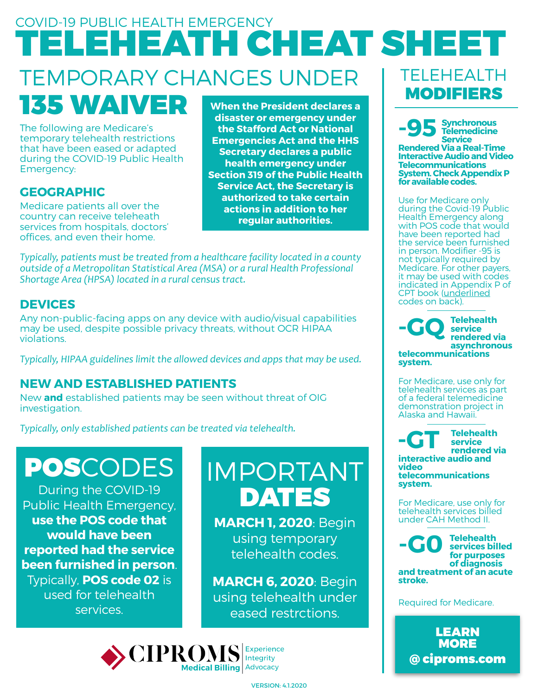### TEMPORARY CHANGES UNDER 135 WAIVER COVID-19 PUBLIC HEALTH EMERGENCY TELEHEATH CHEAT SHEET TELEHEALTH MODIFIERS

The following are Medicare's temporary telehealth restrictions that have been eased or adapted during the COVID-19 Public Health

**GEOGRAPHIC**

Emergency:

Medicare patients all over the country can receive teleheath services from hospitals, doctors' offices, and even their home.

**When the President declares a disaster or emergency under the Stafford Act or National Emergencies Act and the HHS Secretary declares a public health emergency under Section 319 of the Public Health Service Act, the Secretary is authorized to take certain actions in addition to her regular authorities.**

*Typically, patients* must be treated from a healthcare facility located in a county outside of a Metropolitan Statistical Area (MSA) or a rural Health Professional Shortage Area (HPSA) located in a rural census tract.

#### **DEVICES**

Any non-public-facing apps on any device with audio/visual capabilities may be used, despite possible privacy threats, without OCR HIPAA violations.

*Typically, HIPAA guidelines limit the allowed devices and apps that may be used.* 

#### **NEW AND ESTABLISHED PATIENTS**

New **and** established patients may be seen without threat of OIG investigation.

*Typically, only established patients can be treated via telehealth.* 

# POSCODES

During the COVID-19 Public Health Emergency, **use the POS code that would have been reported had the service been furnished in person**. Typically, **POS code 02** is used for telehealth services.

## IMPORTANT DATES

**MARCH 1, 2020**: Begin using temporary telehealth codes.

**MARCH 6, 2020**: Begin using telehealth under eased restrctions.



indicated in Appendix P of CPT book (underlined codes on back). **Telehealth service rendered via asynchronous telecommunications**   $\mathbf{r}_{\bullet}$ 

**Synchronous Telemedicine Service Rendered Via a Real-Time Interactive Audio and Video Telecommunications System. Check Appendix P** 

**for available codes.** 

**-95**

Use for Medicare only during the Covid-19 Pืublic Health Emergency along with POS code that would have been reported had the service been furnished in person. Modifier -95 is not typically required by Medicare. For other payers, it may be used with codes

For Medicare, use only for telehealth services as part of a federal telemedicine demonstration project in Alaska and Hawaii.

**system.**

**Telehealth service rendered via interactive audio and video telecommunications system. -GT**

For Medicare, use only for telehealth services billed under CAH Method II.

**Telehealth services billed for purposes of diagnosis and treatment of an acute stroke. -G0**

Required for Medicare.

[LEARN](http://www.ciproms.com/2020/03/more-telehealth-flexibility-for-billing-medicare/) **MORE** @ ciproms.com

VERSION: 4.1.2020